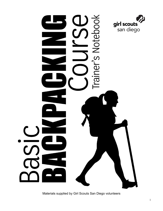

# $\vec{\circ}$ Ĕ Trainer's Notebo

Materials supplied by Girl Scouts San Diego volunteers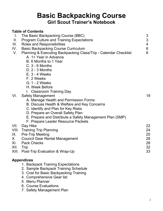# **Basic Backpacking Course Girl Scout Trainer's Notebook**

## **Table of Contents** I. The Basic Backpacking Course (BBC)<br>I. Program Culture and Training Expectations 33 II. Program Culture and Training Expectations 3<br>
III. Roles and Responsibilities 4 III. Roles and Responsibilities 4<br>IV. Basic Backpacking Course Curriculum 6 IV. Basic Backpacking Course Curriculum V. Planning & Executing Backpacking Class/Trip - Calendar Checklist 8 A. 1+ Year in Advance B. 6 Months to 1 Year C. 3 - 6 Months D. 2 - 3 Months E. 3 - 4 Weeks F. 2 Weeks G. 1 - 2 Weeks H. Week Before I. Classroom Training Day VI. Safety Management 19 A. Manage Health and Permission Forms B. Discuss Health & Welfare and Key Concerns C. Identify and Plan for Key Risks D. Prepare an Overall Safety Plan E. Prepare and Distribute a Safety Management Plan (SMP) F. Prepare Leader Resource Packets VII. Day Hike 22 VIII. Training Trip Planning 24 IX. Pre-Trip Meeting 25 X. Council Gear Rental Management 28 XI. Pack Checks 28<br>XII. Trip 28 XII. Trip 32 XIII. Post-Trip Evaluation & Wrap-Up 33 **Appendices** 1. Backpack Training Expectations 2. Sample Backpack Training Schedule 3. Cost for Basic Backpacking Training

- 4. Comprehensive Gear list
- 5. Menu Planner
- 6. Course Evaluations
- 7. Safety Management Plan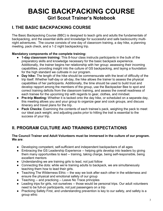# **BASIC BACKPACKING COURSE Girl Scout Trainer's Notebook**

# **I. THE BASIC BACKPACKING COURSE**

The Basic Backpacking Course (BBC) is designed to teach girls and adults the fundamentals of backpacking, and the essential skills and knowledge for successful and safe backcountry multinight adventures. The course consists of one day of classroom training, a day hike, a planning meeting, pack check, and a 1-2 night backpacking trip.

#### **Mandatory components of the complete training:**

- **1-day classroom training:** This 8-hour class instructs participants in the bulk of the preparatory skills and knowledge necessary for the basic backpack experience. Additionally, the trainer begins her relationship with her group: assessing their incoming capabilities, providing insight into the culture of GS backpacking, and laying a foundation for the high standard we cultivate in our program.
- **Day hike:** The length of the hike should be commensurate with the level of difficulty of the trip itself. Whether half-day or all-day, the hike allows the trainer to assess the physical capabilities of her participants. Additionally, the time should be used to build trust and develop rapport among the members of the group, use the Backpacker Bee to spot and correct training deficits from the classroom training, and assess the overall readiness of each trainee for the upcoming trip with regards to gear, clothes, and mindset.
- **Pre-trip Meeting:** Whether it is tacked onto the day hike, or scheduled on a separate day, this meeting allows you and your group to organize gear and cook groups, and discuss itinerary and travel plans for the trip.
- **Pack Checks:** Examining the contents of each trainee's pack, weighing the pack to meet our ideal pack weight, and adjusting packs prior to hitting the trail is essential to the success of your trip.

# **II. PROGRAM CULTURE AND TRAINING EXPECTATIONS**

#### **The Council Trainer and Adult Volunteers must be immersed in the culture of our program. We are**:

- Developing competent, self-sufficient and independent backpackers of all ages
- Embracing the GS Leadership Experience -- helping girls develop into leaders by giving them many opportunities to lead -- training, taking charge, being self-responsible, being excellent mentors
- Understanding we are training girls to lead, not just follow
- Connecting the dots: while we're training adults to backpack, we are simultaneously teaching them how to lead their girls.
- Teaching The Wilderness Ethic -- the way we look after each other in the wilderness and ensure the physical and emotional safety of our group
- Teaching -- and practicing -- Leave No Trace principles
- Leading trips for girls, not ourselves -- those would be personal trips. Our adult volunteers need to be full-on participants, not just passengers on a trip
- Practicing Safety First, and understanding prevention is key to our safety, and safety is a group ethic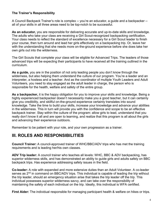#### **The Trainer's Responsibility**

A Council Backpack Trainer's role is complex -- you're an educator, a guide and a backpacker - all of your skills in all three areas need to be top-notch to be successful.

**As an educator,** you are responsible for delivering accurate and up-to-date skills and knowledge. The adults who take your class are receiving a Girl Scout-recognized backpacking certification. Your class needs to reflect the standard of excellence necessary for a Girl Scout leader to finish your course, then turn around and lead her girls effectively on a backpacking trip. Or, leave her with the understanding that she needs more on-the-ground experience before she does take her own girls out into the wilderness.

The Girl Scouts that complete your class will be eligible for Advanced Trips. The leaders of those advanced trips will be expecting their participants to have received all the training outlined in the curriculum.

**As a guide,** you are in the position of not only leading people you don't know through the wilderness, but also helping them understand the culture of our program. You're a leader and an interpreter, a hostess and a teacher. And as the coordinator of multiple Youth Leaders and Adult Volunteers, you need to stay engaged as the adult leader in charge, the person who is responsible for the health, welfare and safety of the entire group.

**As a backpacker,** it is the happy obligation for you to improve your skills and knowledge. Being a highly experienced backpacker doesn't necessarily make you a good teacher, but it can certainly give you credibility, and skillful on-the-ground experience certainly translates into sound knowledge. Take the time to build your skills, increase your knowledge and advance your abilities in the wilderness. This in turn will provide you with the confidence and scope to be an effective backpack trainer. Stay within the culture of the program: allow girls to lead, understand that you really don't know it all and are open to learning, and realize that this program is all about the girls and advancing their experience outdoors.

Remember to be patient with your role, and your own progression as a trainer.

# **III. ROLES AND RESPONSIBILITIES**

**Council Trainer:** A council-approved trainer of WHC/BBC/ADV trips who has met the training requirements and is leading her/his own classes.

**ADV Trip leader:** A council trainer who teaches all levels: WHC, BBC & ADV backpacking, has superior wilderness skills, and has demonstrated an ability to guide girls and adults safely on BBC backpack trips. Has experience addressing safety issues in the field.

**Co-leader:** A role with expanded and more extensive duties than an Adult Volunteer. A co-leader serves as 2<sup>nd</sup> in command on BBC/ADV trips. This individual is capable of leading the trip without the trip leader, should an emergency situation arise that takes the trip leader off the trip. This individual possesses superior wilderness savvy, and can take over the responsibility of maintaining the safety of each individual on the trip. Ideally, this individual is WFA certified.

**First Aider:** The individual responsible for managing participant health & welfare on hikes or trips.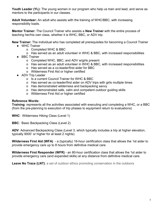**Youth Leader (YL):** The young women in our program who help us train and lead, and serve as mentors to the participants in our classes.

**Adult Volunteer:** An adult who assists with the training of WHC/BBC, with increasing responsibility loads.

**Mentor Trainer:** The Council Trainer who assists a **New Trainer** with the entire process of teaching her/his own class, whether it is WHC, BBC, or ADV trip.

**New Trainer:** The individual who has completed all prerequisites for becoming a Council Trainer

- WHC Trainer
	- o Completed WHC & BBC
	- o Has served as an adult volunteer in WHC & BBC, with increased responsibilities
- BBC Trainer
	- o Completed WHC, BBC, and ADV w/girls present
	- o Has served as an adult volunteer in WHC & BBC, with increased responsibilities
	- o Has served as a co-leader/first aider for BBC
	- o Wilderness First Aid or higher certified
- ADV Trip Leader
	- o Is a current Council Trainer for WHC & BBC
	- o Has served as co-leader/first aider on ADV trips with girls multiple times
	- o Has demonstrated wilderness and backpacking savvy
	- o Has demonstrated safe, calm and competent outdoor guiding skills
	- o Wilderness First Aid or higher certified

#### **Reference Words:**

**Training**: represents all the activities associated with executing and completing a WHC, or a BBC (from the pre-planning to execution of trip phases to equipment return to evaluations)

**WHC**: Wilderness Hiking Class (Level 1)

**BBC**: Basic Backpacking Class (Level 2)

**ADV**: Advanced Backpacking Class (Level 3, which typically includes a trip at higher elevation, typically 9000' or higher for at least 2 nights)

**Wilderness First Aid (WFA)** - a (typically) 16-hour certification class that allows the 1st aider to provide emergency care up to 8 hours from definitive medical care.

**Wilderness First Responder (WFR)** - an 80-hour certification class that allows the 1st aider to provide emergency care (and expanded skills) at any distance from definitive medical care.

**Leave No Trace (LNT):** a set of outdoor ethics promoting conservation in the outdoors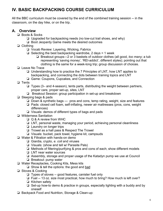# **IV. BASIC BACKPACKING COURSE CURRICULUM**

All the BBC curriculum must be covered by the end of the combined training session -- in the classroom, on the day hike, or on the trip.

# **A. Overview**

- ❏ Boots & Socks
	- ❏ Upgraded for backpacking needs (no low-cut trail shoes, and why)
	- ❏ Boot Jeopardy Game meets the desired outcomes
- ❏ Clothing
	- ❏ Vocab Review: Layering, Wicking, Fabrics
	- $\Box$  Selecting the best backpacking wardrobe, 2 days = 1 week
		- ❏ Breakout groups—2 or 3 baskets of outdoor clothes (all good, *too many*; a tub representing 'saving money', 'REI-addict', different styles); pointing out that clothing is the same for a week-long trip; group discussion of choices.
- ❏ Leave No Trace
	- ❏ Understanding how to practice the 7 Principles of LNT, how LNT applies to backpacking, and connecting the dots between training topics and LNT
	- ❏ Game: Coupons, Cupcakes, and Connection
- ❏ Tents
	- ❏ Types (3– and 4-season), tents parts, distributing the weight between partners, proper care, proper set-up, sites, LNT
	- ❏ Breakout Session: group participation in set-up and breakdown
- ❏ Sleeping bags & pads
	- ❏ Down & synthetic bags pros and cons, temp rating, weight, size and features
	- ❏ Pads: closed cell foam, self-inflating, newer air mattresses (pros, cons, weight differences)
	- ❏ Visuals: demos of different types of bags and pads
- ❏ Wilderness Sanitation
	- ❏ Q & A review from WHC
	- ❏ LNT, personal waste, managing your period, achieving personal cleanliness
	- ❏ Laundry on longer trips
	- ❏ Trowel as a hall pass & Respect The Trowel
	- ❏ Visuals: bucket, pack towel, hygiene kit, campsuds
- ❏ Water & Filtration with hands-on demo
	- ❏ Giardia, crypto, *e. coli* and viruses
	- ❏ Visuals: (show and tell w/ Parasite Pals)
	- ❏ Methods of filtering/purifying & pros and cons of each; show different models
	- ❏ LNT near water sources
	- ❏ Assembly, storage and proper usage of the Katadyn pump we use at Council
	- ❏ Breakout: pump water
- ❏ Water Receptacles, Cooking Kits, Mess kits
	- ❏ Show & tell the options: the good and bad
- ❏ Stoves & Cooking
	- ❏ Types of stoves -- good features, canister fuel only
	- ❏ Fuel -- 13 oz. size most practical, how much to bring? How much is left over?
	- ❏ Kitchen safety
	- ❏ Set-up how-to demo & practice in groups, especially lighting with a buddy and by oneself
- ❏ Backpack Food and Nutrition, Storage & Clean-up: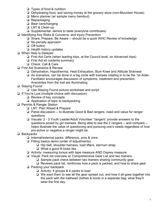- ❏ Types of food & nutrition
- ❏ Dehydrating food, and saving money at the grocery store (non-Mountain House)
- ❏ Menu planner (w/ sample menu handout)
- ❏ Repackaging
- ❏ Bear cans/hanging
- ❏ LNT & Clean-up
- ❏ Supplemental: demos to taste (everyone contributes)
- ❏ Identifying Key Risks & Concerns, and Injury Prevention
	- ❏ Share, Prepare, Be Aware -- should be a quick WHC Review of knowledge
	- ❏ No-penalty approach
	- ❏ Off button
	- ❏ Health history updates
- ❏ When Help Is Delayed
	- ❏ First Aid Certs (when leading trips, at the Council level, on Advanced trips)
	- ❏ First Aid kit contents summary
	- ❏ Check, Call & Care
- ❏ First Aid Scenarios & Review
	- ❏ Dehydration, Hypothermia, Heat Exhaustion, Bum Knee and Altitude Sickness
	- ❏ As scenarios, can be done in a big circle with trainees rotating in to be the 1st Aider. Facilitator encourages discussion of symptoms, treatment and prevention. Anecdotes from the trail are illuminating.
- ❏ Staying Found
	- ❏ Use Staying Found picture worksheet and script
- ❏ If You're Lost (multiple choice with discussion)
	- ❏ Review of key concepts
	- ❏ Application of topic to backpacking
- ❏ Permits & Ranger Station
	- ❏ LNT: Plan Ahead & Prepare
	- ❏ Panel discussion -- to illustrate Good & Bad rangers, need and value for ranger questions
	- ❏ Visuals: 2 3 Youth Leader/Adult Volunteer "rangers" provide answers to the questions posed by girl trainees. Being able to see the 2 rangers -- and compare - helps illustrate the value of questioning and pursuing one's needs regardless of how pro-active or negative a ranger might be.
- ❏ Backpacks
	- ❏ Internal/external packs: difference, pros & cons
	- ❏ Fitting basics demo (order of adjustments)
		- ❏ Hip belt, shoulder harness, load lifters, sternum strap
		- ❏ What a good fit looks like
	- ❏ Activity: measuring torsos with tape measure AND Osprey measure
	- ❏ Visual: Pack list overview w/ Comprehensive Gear List and two trainers
		- ❏ Sample pack check between two trainers sharing community gear
		- ❏ Reviews pack list, reinforces how a pack is packed, and how to share gear
	- ❏ Packing your backpack
		- ❏ Activity: 4 groups & 4 packs to load
		- ❏ We want them to see all the gear spread out, and how it all goes together into the pack with the trailhead clothes & boots in a separate bag: what they'll wear the first day.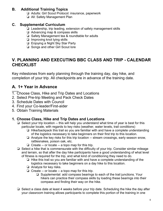# **B. Additional Training Topics**

- ❏ Adults: Girl Scout Protocol: insurance, paperwork
- ❏ All: Safety Management Plan

## **C. Supplemental Curriculum**

- ❏ Leadership, trip leading, extension of safety management skills
- ❏ Advancing map & compass skills
- ❏ Safety Management tea & roundtable for adults
- ❏ Improving knot tying skills
- ❏ Enjoying a Night Sky Star Party
- ❏ Songs and other Girl Scout lore

# **V. PLANNING AND EXECUTING BBC CLASS AND TRIP - CALENDAR CHECKLIST**

Key milestones from early planning through the training day, day hike, and completion of your trip. All checkpoints are in advance of the training date.

# **A. 1+ Year in Advance**

- 1. Choose Class, Hike and Trip Dates and Locations
- 2. Select Pre-trip Meeting and Pack Check Dates
- 3. Schedule Dates with Council
- 4. Find your Co-leader/First-aider
- 5. Obtain Training Materials

## **1. Choose Class, Hike and Trip Dates and Locations**

- ❏ Select your trip location -- this will help you understand what time of year is best for this particular locale, with regards to key risks (weather, water levels, trail conditions)
	- ❏ Hike/backpack this trail so you are familiar with and have a complete understanding of the logistics necessary to take beginners on their first trip to this location.
	- ❏ Analyze the key risks for this trip location -- stream crossings, early season snow, rattlesnakes, poison oak, etc.
	- ❏ Create -- or locate -- a topo map for this trip.
- ❏ Select a hike that is commensurate with the difficulty of your trip. Consider similar mileage and terrain, so that after the day hike participants have a good understanding of what level of fitness is required for the trip, and what kind of conditioning they need to do.
	- ❏ Hike this trail so you are familiar with and have a complete understanding of the logistics necessary to take beginners on a day hike to this location.
	- ❏ Analyze for key risks.
	- ❏ Create -- or locate -- a topo map for this trip.
		- ❏ Supplemental: add compass bearings to each of the trail junctions. Your hikers can practice their compass skills by loading these bearings into their compass and finding their way on the hike.
- ❏ Select a class date at least 4 weeks before your trip date. Scheduling the hike the day after your classroom training allows participants to complete this portion of the training in one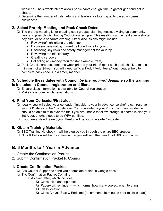weekend. The 4-week interim allows participants enough time to gather gear and get in shape.

❏ Determine the number of girls, adults and leaders for total capacity based on permit allowances.

# **2. Select Pre-trip Meeting and Pack Check Dates**

- ❏ The pre-trip meeting is for creating cook groups, planning meals, dividing up community gear and possibly distributing Council-loaned gear. This meeting can be held after a shorter day hike, or on a separate evening. Other discussions might include:
	- Reviewing/highlighting the trip map
	- Discussing/evaluating current trail conditions for your trip
	- Discussing key risks and safety management for your trip
	- Reviewing the trip itinerary
	- Creating carpools
	- Collecting any money required (for example, tram)
- ❏ Pack Checks are best done the week prior to your trip. Expect each pack check to take a minimum of a ½-hour. You will need sufficient Adult Volunteers/Youth Leader help to complete pack checks in a timely manner.

#### **3. Schedule these dates with Council** *by the required deadline* **so the training is included in Council registration and fliers**

- ❏ Ensure class information is available for Council registration
- ❏ Make classroom facility reservations

## **4. Find Your Co-leader/First-aider**

- ❏ Ideally, you will select your co-leader/first aider a year in advance, so she/he can reserve your BBC dates on her/his calendar. Your co-leader is your 2nd in command -- she/he should be able to take over the trip if you are unable to follow through. If she/he is also your 1st Aider, she/he needs to be WFA certified.
- ❏ If you are a New Trainer, your Mentor will be your co-leader/first aider

#### **5. Obtain Training Materials**

- ❏ BBC Training Notebook -- will help guide you through the entire BBC process
- ❏ Nuts & Bolts -- will help you familiarize yourself with the breadth of BBC curriculum

# **B. 6 Months to 1 Year in Advance**

- 1. Create the Confirmation Packet
- 2. Submit Confirmation Packet to Council

## **1. Create Confirmation Packet**

- ❏ Ask Council Support to send you a template or find in Google docs
- ❏ The Confirmation Packet Contains
	- ❏ A cover letter, which includes
		- ❏ Class, hike and trip dates
		- ❏ Paperwork reminder -- which forms, how many copies, when to bring
		- ❏ Class location
		- ❏ Class Arrival, Start & End time (recommend 15 minutes prior to class start)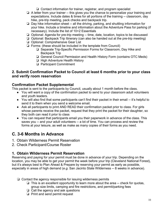❏ Contact information for trainer, registrar, and program specialist

- ❏ A letter from your trainer -- this gives you the chance to personalize your training and expectations. Include dates & times for all portions of the training -- classroom, day hike, pre-trip meeting, pack checks and backpack trip.
- ❏ Day hike information sheet -- all the driving, parking, and shuttling information for your hike. Include a timeline and information about the Adventure Pass for parking (if necessary). Include the list of 10+2 Essentials
- ❏ Optional: Agenda for pre-trip meeting -- time, date, location, topics to be discussed
- ❏ Optional: Backpack Trip Itinerary (can also be handed out at the pre-trip meeting)
- ❏ Optional: Comprehensive Gear List
- ❏ Forms: (these should be included in the template from Council)
	- ❏ Separate Trip-Specific Permission Forms for Classroom, Day Hike and Backpack Trip
	- ❏ General Council Permission and Health HIstory Form (contains OTC Meds)
	- ❏ High Adventure Health History
	- ❏ Participant Commitment

## **2. Submit Confirmation Packet to Council at least 6 months prior to your class and verify room reservation**

# **Confirmation Packet Supplemental**

This packet is sent to the participants by Council, usually about 1 month before the class.

- You will want a copy of the confirmation packet to send to your classroom adult volunteers and youth leaders.
- You will also find that some participants can't find their packet in their email -- it's helpful to send it to them when you send a welcome email.
- Ask all participants to print AND READ their confirmation packet prior to class. For girls whose parents receive the packet, request that they print the packet for their daughter, so they both can read it prior to class
- You can request that participants email you their paperwork in advance of the class. This saves you -- and your adult volunteers -- a lot of time. You can process and review the forms at your leisure, as well as make as many copies of their forms as you need.

# **C. 3-6 Months in Advance**

- 1. Obtain Wilderness Permit Reservation
- 2. Check Participant/Course Roster

# **1. Obtain Wilderness Permit Reservation**

Reserving and paying for your permit must be done in advance of your trip. Depending on the location, you may be able to get your permit the week before your trip (Cleveland National Forest), but it's always best to Plan Ahead & Prepare by reserving your permit as early as possible, especially in areas of high demand (*e.g.* San Jacinto State Wilderness -- 8 weeks in advance).

- ❏ Contact the agency responsible for issuing wilderness permits
	- ❏ This is an excellent opportunity to learn more about the area -- check for quotas, group size limits, camping and fire restrictions, and permit/parking fees
	- ❏ Call the agency and ask questions
	- ❏ Print and send permit request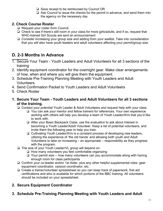- ❏ Save receipt to be reimbursed by Council OR
- ❏ Ask Council to issue the checks for the permit in advance, and send them into the agency on the necessary day

## **2. Check Course Roster**

- ❏ Request your roster from Council.
- ❏ Check to see if there's still room in your class for more girls/adults, and if so, request that WHC-trained Girl Scouts are sent an announcement
- ❏ Consider increasing your group size and adding from your waitlist. Take into consideration that you will also have youth leaders and adult volunteers affecting your permit/group size.

# **D. 2-3 Months in Advance**

- 1. Secure Your Team Youth Leaders and Adult Volunteers for all 3 sections of the training
- 2. Identify equipment coordinator for the overnight gear. Make clear arrangements of how, when and where you will give them the equipment.
- 3. Schedule Pre-Training Planning Meeting with Youth Leaders and Adult Volunteers
- 4. Send Confirmation Packet to Youth Leaders and Adult Volunteers
- 5. Check Roster
- **1. Secure Your Team - Youth Leaders and Adult Volunteers for all 3 sections of the training.**
	- ❏ Contact your potential Youth Leader & Adult Volunteers and request help with your class
		- ❏ You can ask your mentor and fellow trainers for references. Your own experience working with others will help you develop a team of Youth Leader/AVs that you'd like to work with.
		- ❏ After your Basic Backpack Class, use the evaluation to ask about interest in becoming a Youth Leader/Adult Volunteer. Keep a list of potential volunteers, and invite them the following year to help you train.
		- ❏ Cultivating Youth Leader/AVs is a constant process of developing new leaders, utilizing the experience of 'the old hands' and allowing both youth and Adult Volunteers to take on increasing – an appropriate – responsibility as they progress with the program.
	- ❏ The size of your Youth Leader/VL group will depend on:
		- ❏ How many volunteers you feel comfortable organizing
		- ❏ Your permit size -- how many volunteers can you accommodate along with having enough room for class participants
	- ❏ Confirm your co-leader and/or 1st Aider, plus any other helpful supplemental roles: gear equipment coordinator, carpool coordinator, etc.
	- ❏ Create a trainer/volunteer spreadsheet so you can keep track of paperwork, first aid certifications and who is available for which portions of the BBC training. All volunteers should be included on your spreadsheet.

# **2. Secure Equipment Coordinator**

**3. Schedule Pre-Training Planning Meeting with Youth Leaders and Adult**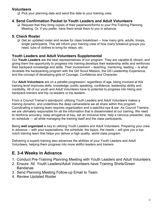#### **Volunteers**

❏ Pick your planning date and send this date to your training crew.

## **4. Send Confirmation Packet to Youth Leaders and Adult Volunteers**

❏ Request that they bring copies of their paperwork/forms to your Pre-Training Planning Meeting. Or, if you prefer, have them email them to you in advance.

# **5. Check Roster**

❏ Get an updated roster and review for class breakdown -- how many girls, adults, troops, single participants. This will inform your training crew of how many breakout groups you need, tubs of clothes to bring for relays, etc.

# **Youth Leaders and Adult Volunteers Supplemental**

Our **Youth Leaders** are the best representatives of our program. They are capable & vibrant, and giving them the opportunity to progress into training develops their leadership skills and reinforces their backpack knowledge and skills. Their involvement -- teaching, mentoring, leading -- is what dovetails the backpacking program with the Girl Scout Mission, the GS Leadership Experience, and the concept of developing girls of Courage, Confidence and Character.

Our **Adult Volunteers** are on a parallel progression: regardless of age, being involved at this training level improves skills, knowledge, public speaking, confidence, leadership ability and credibility. All of our youth and Adult Volunteers have to potential to progress into hiking and backpack trainers and trip co-leaders or trip leaders.

From a Council Trainer's standpoint, utilizing Youth Leaders and Adult Volunteers makes a training dynamic, and underlines the deep camaraderie we all share within this program. Coordinating a training team requires organization and a watchful eye & ear. As Council Trainers, we are ultimately responsible for all the information that is disseminated at our training. We need to reinforce accuracy, keep arrogance at bay, set an inclusive tone, help a nervous presenter, stay on schedule — all while managing the training itself and the class participants.

Being **well organized** is key to utilizing Youth Leaders and Adult Volunteers. Preparing your crew in advance -- with your expectations, the schedule, the topics, the needs -- will give you a topnotch training team that helps you deliver a high quality, world class program.

Delivering a superb training also advances the abilities of your Youth Leaders and Adult Volunteers, helping them progress into more skillful leaders and trainers.

# **E. 3-4 Weeks in Advance**

- 1. Conduct Pre-Training Planning Meeting with Youth Leaders and Adult Volunteers
- 2. Ensure All Youth Leaders/Adult Volunteers have Training Shirts/Green Bandanas
- 3. Send Planning Meeting Follow-up Email to Team
- 4. Review Updated Roster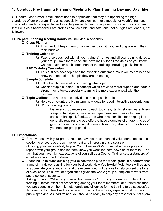# **1. Conduct Pre-Training Planning Meeting to Plan Training Day and Day Hike**

Our Youth Leaders/Adult Volunteers need to appreciate that they are upholding the high standards of our program. The girls, especially, are significant role models for youthful trainees. The Youth Leader's respectful and knowledgeable demeanor says so much about our program: that Girl Scout backpackers are professional, credible, and safe, and that our girls are leaders, not followers.

#### ❏ **Prepare Planning Meeting Handouts**: Included in Appendix

#### ❏ **Class Planner**

❏ This handout helps them organize their day with you and prepare with their topic buddies

#### ❏ **Training Calendar**

❏ Pass a spreadsheet with all your trainers' names and all your training dates to your group. Have them check their availability for all the dates so you know who you have for each component of the training, including pack checks.

#### ❏ **BBC Training Curriculum**

❏ This outlines each topic and the expected outcomes. Your volunteers need to know the depth of each topic they are presenting

#### ❏ **Sample Schedule**

- ❏ Fill in the blanks on who is covering what topic
- ❏ Consider topic buddies -- a concept which provides moral support and double strength on a topic, especially teaming the more experienced with the newbies.
- ❏ **Topic Outlines** -- to hand out to individuals training each topic
	- ❏ Help your volunteers brainstorm new ideas for good interactive presentations
	- ❏ Who's bringing what?
		- ❏ List every prop necessary to each topic (*e.g.* tents, stoves, water filters, sleeping bags/pads, backpacks, tape measures, mess kits, bear canister, backpack food….), and who is responsible for bringing it. It generally requires a group effort to have examples of different types of gear. Your roster size will determine how many stoves or water filters you need for group practice.

#### ❏ **Expectations**

- ❏ Review these with your group. You can have your experienced volunteers each take a section to encourage group involvement and interest in this discussion.
- ❏ Outlining *your* responsibility to your Youth Leaders/AVs is crucial -- develop a good rapport with your group and let them know you won't let them down or let them fail. The fact that you have high expectations of yourself as a Council Trainer sets a standard of excellence from the top down.
- ❏ Spending 15 minutes outlining your expectations puts the whole group in a performance frame of mind: we're asking for your best work. New Youth/Adult Volunteers will be able to appreciate your standards, and the experienced will be able to help you set the tone of excellence. This level of organization gives the whole group a template to work from, and a sense of security.
- ❏ Asking for input: "What do you need from me?" or "How do you view your role in this training?" invites excellent processing among your team members, and reinforces that you are counting on their high standards and diligence for the training to be successful.
- ❏ No one wants to feel like they've been thrown to the wolves, especially if it involves public speaking. As lead trainer, you should be ready to help any presenter out of a jam,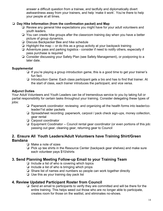answer a difficult question from a trainee, and tactfully and diplomatically divert awkwardness away from your trainers, and help 'make it work'. You're there to help your people at all times.

#### ❏ **Day Hike Information (from the confirmation packet) and Map**

- ❏ Review any general hike expectations you might have for your adult volunteers and youth leaders.
- ❏ You can create hike groups after the classroom training day when you have a better picture of group dynamics.
- ❏ Discuss Backpacker Bee and hike schedule
- ❏ Highlight the map -- or do this as a group activity at your backpack training
- ❏ Adventure pass and parking logistics consider if need to notify others, especially if pass purchase is required
- ❏ Consider discussing your Safety Plan (see Safety Management), or postponing to a later date.

#### **Supplemental**

- ❏ If you're playing a group introduction game, this is a good time to get your trainer's fun fact.
- ❏ Introduction Game: Each class participant gets a bio and has to find that trainer. At the start of class, each trainer introduces the participant, and vice versa.

#### **Adjunct Duties**

Your Adult Volunteers and Youth Leaders can be of tremendous service to you by taking full or partial responsibility for certain tasks throughout your training. Consider delegating these types of jobs:

- ❏ Paperwork coordinator: reviewing and organizing all the health forms into leader/coleader/1st aider packets
- ❏ Spreadsheet recording: paperwork, carpool / pack check sign-ups, money collection, gear rental
- ❏ Carpool coordinator
- ❏ Equipment Coodinator -- Council rental gear coordinator (or even portions of this job: passing out gear, cleaning gear, returning gear to Council

#### **2. Ensure All Youth Leaders/Adult Volunteers have Training Shirt/Green Bandana**

- ❏ Make a note of sizes
- ❏ Pick up tee shirts in the Resource Center (backpack gear shelves) and make sure each volunteer pays \$10/shirts

## **3. Send Planning Meeting Follow-up Email to your Training Team**

- $\Box$  Include a list of who is covering which topics
- ❏ Include a list of who is bringing which props
- ❏ Share list of names and numbers so people can work together directly
- ❏ Use this as your training day pack list

## **4. Review Updated Participant Roster from Council**

❏ Send an email to participants to verify they are committed and will be there for the entire training. This helps weed out those who are no longer able to participate, creates room for those on the waitlist, and eliminates no-shows.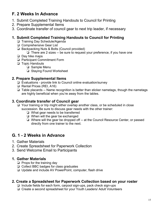# **F. 2 Weeks In Advance**

- 1. Submit Completed Training Handouts to Council for Printing
- 2. Prepare Supplemental Items
- 3. Coordinate transfer of council gear to next trip leader, if necessary

# **1. Submit Completed Training Handouts to Council for Printing**

- ❏ Training Day Schedule/Agenda
- ❏ Comprehensive Gear List
- ❏ Backpacking Nuts & Bolts (Council provided)

❏ There are 2 sizes -- be sure to request your preference, if you have one

- ❏ Day hike maps
- ❏ Participant Commitment Form
- ❏ Topic Handouts
	- ❏ Sample Menu
	- ❏ Staying Found Worksheet

# **2. Prepare Supplemental Items**

- ❏ Evaluations provide link to Council online evaluation/survey
- ❏ Rental Prices (REI, A16)
- ❏ Table placards -- Name recognition is better than sticker nametags, though the nametags are highly beneficial when you're away from the tables.

# **3. Coordinate transfer of Council gear**

- ❏ Your training or trip might either overlap another class, or be scheduled in close succession. Be sure to discuss gear needs with the other trainer:
	- ❏ What gear needs to be transferred
	- ❏ When will the gear be exchanged
	- ❏ Where will the gear be dropped off -- at the Council Resource Center, or passed directly from one trainer to the next.

# **G. 1 - 2 Weeks in Advance**

- 1. Gather Materials
- 2. Create Spreadsheet for Paperwork Collection
- 3. Send Welcome Email to Participants

## **1. Gather Materials**

- ❏ Props for the training day
- ❏ Collect BBC badges for class graduates
- ❏ Update and include AV PowerPoint, computer, flash drive

## **2. Create a Spreadsheet for Paperwork Collection based on your roster**

- ❏ Include fields for each form, carpool sign-ups, pack check sign-ups
- ❏ Create a second spreadsheet for your Youth Leaders/ Adult Volunteers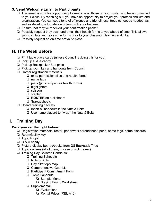# **3. Send Welcome Email to Participants**

- ❏ This email is your first opportunity to welcome all those on your roster who have committed to your class. By reaching out, you have an opportunity to project your professionalism and organization. You can set a tone of efficiency and friendliness, troubleshoot as needed, as well as develop a foundation of trust with your trainees.
- ❏ Ensure that they've received your confirmation packet.
- ❏ Possibly request they scan and email their health forms to you ahead of time. This allows you to collate and review the forms prior to your classroom training and hike.
- ❏ Possibly request an on-time arrival to class.

# **H. The Week Before**

- ❏ Print table place cards (unless Council is doing this for you)
- ❏ Pick up Q & A candy
- ❏ Pick up Backpacker Bee prize
- ❏ Pick up room key and handouts from Council
- ❏ Gather registration materials
	- ❏ extra permission slips and health forms
	- ❏ name tags
	- ❏ pens (plus red pen for health forms)
	- ❏ highlighters
	- ❏ scissors
	- ❏ stapler
	- ❏ **ROSTER** on a clipboard
	- ❏ Spreadsheets
- ❏ Collate training packets
	- ❏ Insert all handouts in the Nuts & Bolts
	- ❏ Use name placard to "wrap" the Nuts & Bolts

# **I. Training Day**

#### **Pack your car the night before:**

- ❏ Registration materials: roster, paperwork spreadsheet, pens, name tags, name placards
- ❏ Room/facility key
- ❏ Topic Props
- ❏ Q & A candy
- ❏ Picture display boards/books from GS Backpack Trips
- ❏ Topic outlines (all of them, in case of sick trainer)
- ❏ Training Day Collated Handouts:
	- ❏ Training Schedule
	- ❏ Nuts & Bolts
	- ❏ Day hike topo map
	- ❏ Comprehensive Gear List
	- ❏ Participant Commitment Form
	- ❏ Topic Handouts
		- ❏ Sample Menu
		- ❏ Staying Found Worksheet
	- ❏ Supplemental:
		- ❏ Evaluations
		- ❏ Rental Prices (REI, A16)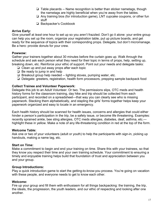- ❏ Table placards -- Name recognition is better than sticker nametags, though the nametags are highly beneficial when you're away from the tables.
- ❏ Any training bios (for introduction game), LNT cupcake coupons, or other fun stuff
- ❏ Backpacker's Cookbook

#### **Arrive Early:**

Give yourself at *least* one hour to set up so you aren't frazzled. Don't go it alone: your entire group can help you set up the room, organize your registration table, put up picture boards, and get ready for the sequence of topics with their corresponding props. Delegate, but don't micromanage. Be a hero: provide donuts for your crew.

#### **Powwow:**

Gather your trainers together about 30 minutes before the curtain goes up. Walk through the schedule and ask each person what they need for their topic in terms of props, help, setting up, breaking down, etc. Reinforce your ethic of support. Point out your needs and delegate tasks:

- ❏ Clean up and put away props after each topic
- ❏ Be ready to jump in and help
- ❏ Breakout group help needed -- lighting stoves, pumping water, etc.
- ❏ Delegate: greeters, registration, health form processors, prepping sample backpack food

#### **Collect Trainee and Volunteer Paperwork:**

Delegate this job to an Adult Volunteer. Or two. The permissions slips, OTC meds and health history forms for the classroom training, day hike and trip should be collected from each participant, and recorded on a spreadsheet—that way you can clearly see who is missing paperwork. Stacking them alphabetically, and stapling the girls' forms together helps keep your paperwork organized and easy to locate in an emergency.

Each health history should be scanned for health issues, concerns and allergies that could either hinder a person's participation in the trip, be a safety issue, or become life threatening. Examples: recently sprained ankle, bee sting allergies, OTC meds allergies, diabetes, deaf, asthma, etc. highlight these in yellow. Make a note of any life-threatening condition in red at the top of the form.

#### **Welcome Table:**

Ask one or two of your volunteers (adult or youth) to help the participants with sign-in, picking up handouts, making a name tag, etc.

#### **Start on Time:**

Make a commitment to begin and end your training on time. Share this with your trainees, so that they know you respect their time and your own training schedule. Your commitment to ensuring a timely and enjoyable training helps build that foundation of trust and appreciation between you and your group.

#### **Group Introductions:**

Play a quick introduction game to start the getting-to-know-you process. You're going on vacation with these people, and everyone needs to get to know each other.

#### **Welcome:**

Fire up your group and fill them with enthusiasm for all things backpacking: the training, the trip, the ideals, the progression, the youth leaders, and our ethic of respecting and looking after one another.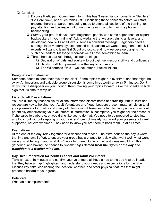- ❏ Consider:
	- ❏ Discuss Participant Commitment form: this has 3 essential components -- "Be Here", "Be Here Now", and "Electronics Off". Discussing these concepts before you start ensures there's an agreement being made to attend all sections of the training, to pay attention and be respectful during the training, and to minimize phones in backpacking.
	- ❏ Survey your group: do you have beginners, people with some experience, or expert backpackers in your training? Acknowledging that we are training all levels, and developing new skills at all levels, sends a powerful message. Beginners need a starting place; moderately experienced backpackers will want to augment their skills; experts will want to learn Girl Scout protocols, and how we develop our girls into such fine leaders. Message received: we all have something to learn.
	- ❏ Three themes that run through all our trainings:
		- ❏ Separation of girls and adults -- to build girl self-responsibility and confidence
		- ❏ Safety First! And prevention is the key to our safety.
		- ❏ The Wilderness Ethic -- we look after our fellow hikers

#### **Designate a Timekeeper:**

Someone needs to keep their eye on the clock. Some topics might run overtime, and that might be okay. An important and valuable group discussion is sometimes worth an extra 5 minutes. Don't let your time disappear on you, though. Keep moving your topics forward. Give the speaker a high sign that it's time to wrap up.

#### **Listen to all Presentations:**

You are ultimately responsible for all the information disseminated at a training. Mutual trust and respect are key to helping your Adult Volunteers and Youth Leaders present material. Listen to all your presenters for quality and clarity of information. It takes some tact to clarify accuracy without potentially embarrassing your volunteers. If information is incomplete, you might ask the presenter if she cares to elaborate, or would she like you to do that. You need to be prepared to step into any topic, but without stepping on your trainers' toes. Ultimately, you want your presenters to feel supported, not overwhelmed. They need to know you are there to back them up at all times.

#### **Evaluations:**

At the end of the day, relax together for a debrief and mocha. The extra hour on the day is worth the time and small effort, to ensure your group has a chance to review what went well, what went wrong, what felt right, and what didn't work for them. Some of the best ideas result from this gathering, and having the chance to *review helps detach from the rigors of the day and transition to a fresher mind set.*

#### **Day Hike Preparation for Youth Leaders and Adult Volunteers:**

Take an extra 10 minutes and confirm your volunteers all have a ride to the day hike trailhead, that they have a map (highlighted) and understand your needs and expectations for the hike. Discuss key risks, considering the location, weather, and other physical features that might present a hazard to your group.

#### **Celebrate:**

What an accomplishment!!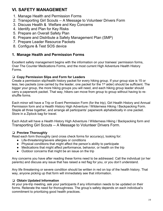# **VI. SAFETY MANAGEMENT**

- 1. Manage Health and Permission Forms
- 2. Transporting Girl Scouts -- A Message to Volunteer Drivers Form
- 3. Discuss Health & Welfare and Key Concerns
- 4. Identify and Plan for Key Risks
- 5. Prepare an Overall Safety Plan
- 6. Prepare and Distribute a Safety Management Plan (SMP)
- 7. Prepare Leader Resource Packets
- 8. Configure & Test SOS device

# **1. Manage Health and Permission Forms**

Excellent safety management begins with the information on your trainees' permission forms, Over The Counter Medications Forms, and the most current High Adventure Health History Forms.

#### ❏ **Copy Permission Slips and Form for Leaders**

Create a permission slip/health history packet for every hiking group. If your group size is 15 or less, two packets (one carried by the leader, one packet for the 1<sup>st</sup> aider) should be sufficient. The bigger your group, the more hiking groups you will need, and each hiking group leader should carry a paperwork packet. That way, hikers can move from group to group without having to reshuffle forms.

Each minor will have a Trip or Event Permission Form (for the trip), Girl Health History and Annual Permission form and a Health History High Adventure / Wilderness Hiking / Backpacking Form. Staple all three together, and arrange all participants' paperwork alphabetically in one packet. Store in a Ziplock bag for travel.

Each Adult will have a Health History High Adventure / Wilderness Hiking / Backpacking form and Transporting Girl Scouts -- A Message to Volunteer Drivers Form.

#### ❏ **Preview Thoroughly**

Read each form thoroughly (and cross check forms for accuracy), looking for:

- Life-threatening/severe allergies or conditions
- Physical conditions that might affect the person's ability to participate
- Medications that might affect performance, behavior, or health on the trip
- Outdoor concerns that might be an issue on the trip

Any concerns you have after reading these forms need to be addressed. Call the individual (or her parents) and discuss any issue that has raised a red flag for you, or you don't understand.

Any life threatening or severe condition should be written in red on top of the health history. That way, anyone picking up that form will immediately see that information.

#### ❏ **Obtain Updated Information**

At your pre-trip meeting, ask your participants if any information needs to be updated on their forms. Reiterate the need for thoroughness. The group's safety depends on each individual's commitment to prioritizing good health practices.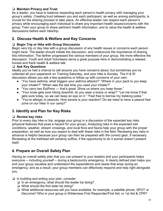#### ❏ **Maintain Privacy and Trust**

As a leader, you have to balance respecting each person's health privacy with managing your group's safety. Creating trust between you and each participant, as well as *among* participants, is crucial for the sharing process to take place. An effective leader can respect each person's privacy while encouraging each individual to share any important health issues/concerns with the group. Train your group to share pertinent health information, and to value the health & welfare discussions before each hike/trip.

# **2. Discuss Health & Welfare and Key Concerns**

#### ❏ **Begin Trip or Hike with Group Discussion**

Begin very trip or day hike with a group discussion of any health issues or concerns each person might have. The leader should initiate the discussion, and underscore the importance of sharing this information. The farther progressed the various members of your group, the more effective the discussion. Youth and Adult Volunteers serve a great purpose here in demonstrating a relaxed, honest and frank health & welfare talk.

#### ❏ **Ask Key Questions**

Ideally you've had a chance to call anyone you have concerns about, but sometimes you've collected all your paperwork on Training Saturday, and your hike is Sunday. The H & W discussion allows you ask a few questions or follow up with concerns of your own:

- "You have asthma: what triggers your asthma attacks?" "Where in your pack to you keep your inhaler?" "When was the last time you used your inhaler?"
- "You carry two EpiPens that's great. Show us where you keep those."
- "Your knee gets sore hiking downhill; do you wear a brace or wrap?" "Let me know if that gets sore today, so we can keep an eye on it." "Feel free to borrow my trekking poles."
- "You're allergic to peanuts. How severe is your reaction? Do we need to have a peanut free zone on our hike/ in our camp?"

# **3. Identify and Plan for Key Risks**

#### ❏ **Review key risks**

Prior to every day hike or trip, engage your group in a discussion of the expected key risks (physical features that pose a hazard for your group). Analyzing risks in the expected trail conditions, weather, stream crossings, and local flora and fauna help your group with the proper preparation, as well as how you expect to deal with these risks in the field. Reviewing key risks in advance is helpful because your group can then be prepared with the correct gear, if necessary. Reviewing at the trailhead will certainly suffice, if the opportunity to do it sooner doesn't present itself.

# **4. Prepare an Overall Safety Plan**

Having an overall safety plan that you can present to your leaders and your participants helps everyone -- including yourself -- during a backcountry emergency. A clearly defined plan helps you and your group visualize and understand the expectations and needs that arise during an emergency, and as a result, your group members can effectively respond and help right alongside you.

- ❏ In building and writing your plan, consider:
	- ❏ In an emergency, what should the leader be doing?
	- ❏ What should the first aider be doing?
	- ❏ What additional resources will you have available, for example, a satellite phone, SPOT or DeLorme? Who in your group is Wilderness First Responder/First Aid, or 1st Aid & CPR?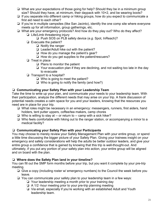- ❏ What are your expectations of those going for help? Should they be in a minimum group size? Should they have, at minimum, their daypack with 10+2, and be wearing boots?
- ❏ If you separate into different camp or hiking groups, how do you expect to communicate a first aid need to each other?
- ❏ If you're in multiple campsites (like San Jacinto), identify the one comp site where everyone meets up for all information, group gatherings, etc.
- ❏ What are your emergency protocols? And how do they play out? Who do they affect?
	- ❏ Life/Limb threatening injury
		- ❏ Push SOS on PLB safety device (*e.g.* Spot, InReach)?
	- ❏ Evacuate the patient?
		- ❏ Notify the ranger
		- ❏ Leader/Adult hike out with the patient?
		- ❏ How do you manage the patient's gear?
		- ❏ How do you get supplies to the patient/rescuers?
	- ❏ Treat in place
		- ❏ Plans to monitor the patient
		- ❏ Your evacuation plan if they are declining, and not waiting too late in the day to evacuate
	- ❏ Transport to a hospital?
		- ❏ Who is going to meet the patient?
		- ❏ Who is going to notify the family (and how?)

#### ❏ **Communicating your Safety Plan with your Leadership Team**

Take the time to write up your plan, and communicate your needs to your leadership team. With their participation, analyze the different needs that may arise on your trip. A frank discussion of potential needs creates a calm space for you and your leaders, knowing that the resources you need are in place for your trip.

- ❏ What roles might be necessary in an emergency: messengers, runners, first aiders, hand holders, tent putter uppers, coffee/tea makers, camp chores
- ❏ Who is willing to stay at -- or return to -- camp with a sick hiker?
- ❏ Who feels comfortable with hiking out to the ranger station, or accompanying a minor to a medical facility?

#### ❏ **Communicating your Safety Plan with your Participants**

You may choose to merely review your Safety Management Plan with your entire group, or spend a little time discussing the bigger picture of your Safety Plan. Giving your trainees insight on your emergency and safety considerations will help the adults be better outdoor leaders, and give your entire group a confidence that is gained by knowing that this trip is well-thought-out. And ultimately, if you put any portion of your safety plan into action, your entire group will be aligned and on board with the plan.

#### ❏ **Where does the Safety Plan land in your timeline?**

You can fill out the SMP form months before your trip, but you want it complete by your pre-trip meeting.

- ❏ Give a copy (including roster w/ emergency numbers) to the Council the week before you leave.
- ❏ You can communicate your safety plan to your leadership team in a few ways:
	- ❏ Your leadership meeting a month prior to your training day
	- ❏ A 1/2 -hour meeting prior to your pre-trip planning meeting
	- ❏ Via email, especially if you're working with an established Adult and Youth leadership team.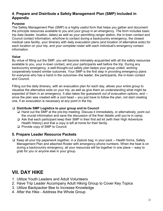## **4. Prepare and Distribute a Safety Management Plan (SMP) Included in Appendix**

#### **Purpose**

The Safety Management Plan (SMP) is a highly useful form that helps you gather and document the principle resources available to you and your group in an emergency. The form includes basic trip data (leader, location, dates) as well as your permitting ranger station, the in-town contact and Council contact information, who/how to contact during a backcountry emergency, the closest medical care facility, your itinerary with daily evacuation plans (and location of alternative exits) for each location on your trip, and your complete roster with each individual's emergency contact information.

#### **Value**

By virtue of filling out the SMP, you will become intimately acquainted with all the safety resources available to you, your in-town contact, and your participants well before the trip. During any backcountry emergency, a well-thought-out safety plan keeps your group united, working cooperatively toward similar outcomes. Your SMP is the first step in providing emergency plans for everyone who has a hand in the outcomes--the leader, the participants, the in-town contact and Council.

Filling out the daily itinerary, with an evacuation plan for each day, allows your entire group to visualize the alternative exits on your trip, as well as give them an understanding what might be expected of them in an emergency. It also takes the guesswork out of evacuation options, and - since the plan was created with a cool head -- you just have to follow the plan, not start creating one, if an evacuation is necessary at any point in the trip.

#### ❏ **Distribute SMP Logistics to your group and to Council**

- ❏ Hand out the SMP at the pre-trip meeting. Discuss it immediately, or alternatively, point out the crucial information and save the discussion of the finer details until you're in camp.
- ❏ Ask that each participant keep their SMP in their first aid kit (with their High Adventure Health History) and that a copy is left at home for their family.
- ❏ Provide copy of SMP to Council.

#### **5. Prepare Leader Resource Packets**

❏ Keep all your trip paperwork together, in a Ziplock bag, in your pack -- Health forms, Safety Management Plan and attached Roster with emergency phone numbers. When the heat is on during a backcountry emergency, all your resources will be together in one place -- easy to grab for you or anyone else in your group.

# **VII. DAY HIKE**

- 1. Utilize Youth Leaders and Adult Volunteers
- 2. Have Trip Leader Accompany Adult Hiking Group to Cover Key Topics
- 3. Utilize Backpacker Bee to Increase Knowledge
- 4. After the Hike Address the Whole Group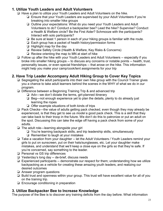## **1. Utilize Youth Leaders and Adult Volunteers**

- ❏ Have a plan to utilize your Youth Leaders and Adult Volunteers on the hike.
	- ❏ Ensure that your Youth Leaders are supervised by your Adult Volunteers if you're breaking into smaller hike groups
	- ❏ Outline your expectations: What do you need your Youth Leaders and Adult Volunteers to do? Conduct a backpacker bee? Lead the hike? Supervise? Conduct a Health & Welfare circle? Be the First Aider? Schmooze with the participants? Interact with solo participants?
	- ❏ Be sure at least 1 person in each of your hiking groups is familiar with the route.
	- ❏ Each group has a packet of health history/permission forms
	- ❏ Highlight map for the day
	- ❏ Review Safety Circle (Health & Welfare, Key Risks & Concerns)
	- ❏ Review orienting the map to MN at start of hike
- ❏ Follow up after the hike with your Youth Leaders and Adult Volunteers -- especially if you broke into smaller hiking groups -- to discuss any concerns or notable points -- health, trust, personality issues, or even special friendships -- that arose on the hike. This information might help you make your camp/cook/tent assignments for your trip

# **2. Have Trip Leader Accompany Adult Hiking Group to Cover Key Topics**

- ❏ Segregating the adult participants into their own hike group with the Council Trainer gives you a chance to take adult learners behind the scenes in the WHY of what we do in our program.
- ❏ Difference between a Beginning Training Trip & and advanced trip
	- ❏ Adv—we don't dictate the terms, girl-planned itinerary
	- ❏ Beg—not enough experience yet to plan the details, plenty to do already just learning the ropes
	- ❏ Offer example situations of both kinds of trips
- ❏ Pack Checks—the value of adults getting pack checked, even though they may already be experienced, is that they get to see us *model* a good pack check. This is a skill that they can take back to their troop in the future. We don't do this to patronize or put an adult on the spot. Discussing this can take the edge off having a pack check from some of your adults.
- ❏ The adult role—learning alongside your girl
	- ❏ You're learning backpack skills, and trip leadership skills, simultaneously
	- ❏ Remember to laugh at your mistakes
- ❏ Take a vacation from your daughter -- let the Adult Volunteers / Youth Leaders remind your girls to put on sunscreen, put on their hats/sunglasses, etc. Let your daughter make mistakes, and understand that we'll keep a close eye on the girls so that they're safe. If you're concerned, say something to the leader.
- ❏ Personal vs GS trip differences
- ❏ Yesterday's long day -- de-brief, discuss needs
- ❏ Experienced participants -- demonstrate our respect for them; understanding how we utilize backpacking as a vehicle for creating these amazing youth leaders, and realizing our desired outcomes
- ❏ Answer program questions
- ❏ Build trust and openness within your group. This trust will have excellent value for all of you on the training trip.
- ❏ Encourage conditioning in preparation

# **3. Utilize Backpacker Bee to Increase Knowledge**

The purpose of the Bee is to discover any training deficits from the day before. What information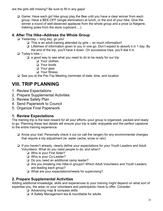are the girls still missing? Be sure to fill in any gaps!

❏ Game: Have each girl hike group play the Bee until you have a clear winner from each group. Have a BEE-OFF (single elimination) at lunch, or the end of your hike. Give the winner a round of well-deserved applause from the whole group and a prize (a Nalgene, trekking poles from the store cupboard….)

# **4. After The Hike--Address the Whole Group**

- ❏ Yesterday -- long day, go you!
	- ❏ This is an adult training attended by girls -- so much information!
	- ❏ Lifetimes of information given to you in one go. Don't expect to absorb it in 1 day. By the end of the trip, you'll have it down. On successive trips, you'll dial it in.
- ❏ Today's hike --
	- ❏ a good way to see what you need to do to be ready for our trip
		- ❏ Your clothes
		- ❏ Your boots
		- ❏ Your gear
		- ❏ Your fitness

❏ See you at the Pre-Trip Meeting (reminder of date, time, and location

# **VIII. TRIP PLANNING**

- 1. Review Expectations
- 2. Prepare Supplemental Activities
- 3. Review Safety Plan
- 4. Send Paperwork to Council
- 5. Organize Final Paperwork

# **1. Review Expectations**

The training trip is the best reward for all your efforts--your group is organized, packed and ready to go. Planning these last details will ensure your trip is safe, enjoyable and the perfect capstone to the entire training experience.

- ❏ Know your trail. Personally check it out (or call the ranger) for any environmental changes that require a trip adjustment (ie. water cache, snow or rain)
- ❏ If you haven't already, clearly define your expectations for your Youth Leaders and Adult Volunteers. What do you need people to do, and when?
	- ❏ Who is your First Aider?
	- ❏ Who is your Co-Leader?
	- ❏ Do you need an additional camp leader?
	- ❏ Are you breaking into Hike-in groups? Which Adult Volunteers and Youth Leaders are leading each group?
	- ❏ What are your expectations/needs for supervising?

# **2. Prepare Supplemental Activities**

Adding additional knowledge, skills and experiences to your training might depend on what sort of expertise you, the area--or your volunteers and participants--have to offer. Consider:

- ❏ Advancing map & compass skills
- ❏ A Safety Management tea & roundtable for adults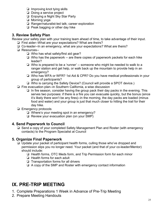- ❏ Improving knot tying skills
- ❏ Doing a service project
- ❏ Enjoying a Night Sky Star Party
- ❏ Morning yoga
- ❏ Ranger/naturalist-led talk; career exploration
- ❏ Peak bagging or other day hike

## **3. Review Safety Plan**

Review your safety plan with your training team ahead of time, to take advantage of their input.

- ❏ First aider--What are your expectations? What are theirs?
- ❏ Co-leader--In an emergency, what are your expectations? What are theirs?
- ❏ Resources--
	- ❏ Who has what safety/first aid gear?
	- ❏ Who has the paperwork -- are there copies of paperwork packets for each hike leader?
	- ❏ Who is prepared to be a 'runner' -- someone who might be needed to walk to a ranger station and get help, or walk back up the mountain to provide help in an emergency?
	- ❏ Who has WFA or WFR? 1st Aid & CPR? Do you have medical professionals in your group of participants?
	- ❏ Who is carrying the Safety Device? (Council will provide a SPOT device.)
- ❏ Fire evacuation plan--in Southern California, a wise discussion
	- ❏ In fire season, consider having the group pack their day packs in the evening. This serves two purposes: if there is a fire you can evacuate quickly, but the bonus (since it's likely there won't be any fires)--in the morning, the day packs are loaded (minus food and water) and your group is just that much closer to hitting the trail for their day hike.
- ❏ Emergency protocols
	- ❏ Where's your meeting spot in an emergency?
	- ❏ Review your evacuation plan (on your SMP)

## **4. Send Paperwork to Council**

❏ Send a copy of your completed Safety Management Plan and Roster (with emergency contacts) to the Program Specialist at Council

# **5. Organize Final Paperwork**

- ❏ Update your packet of participant health forms, culling those who've dropped and permission slips you no longer need. Your packet (and that of your co-leader/Mentor) should include:
	- ❏ Health forms, OTC Meds form, and Trip Permission form for each minor
	- ❏ Health forms for each adult
	- ❏ Transportation forms for all drivers
	- ❏ A copy of the SMP and Roster with emergency contact information

# **IX. PRE-TRIP MEETING**

- 1. Complete Preparations 1 Week in Advance of Pre-Trip Meeting
- 2. Prepare Meeting Handouts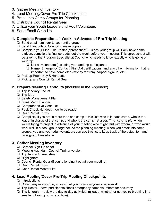- 3. Gather Meeting Inventory
- 4. Lead Meeting/Cover Pre-Trip Checkpoints
- 5. Break Into Camp Groups for Planning
- 6. Distribute Council Rental Gear
- 7. Utilize your Youth Leaders and Adult Volunteers
- 8. Send Email Wrap-Up

# **1. Complete Preparations 1 Week in Advance of Pre-Trip Meeting**

- ❏ Send email reminder to your entire group
- ❏ Send Handouts to Council to make copies
- ❏ Complete your Final Trip Roster (spreadsheet) -- since your group will likely have some attrition, compile this final spreadsheet the week before your meeting. This spreadsheet will be given to the Program Specialist at Council who needs to know exactly who is going on your trip.
	- ❏ List all volunteers (including you) and trip participants
	- ❏ Name, Emergency Contact, First Aid certifications, and any other information that is important to have completed (money for tram, carpool sign-up, etc.)
- ❏ Pick up Room Key & Handouts
- ❏ Pick up any Council Rental Gear

## **2. Prepare Meeting Handouts** (included in the Appendix)

- ❏ Trip Itinerary Packet
- ❏ Trip Map
- ❏ Safety Management Plan
- ❏ Blank Menu Planner
- ❏ Comprehensive Gear List
- ❏ Pack Check Handout (how to be ready)
- ❏ Gear Rental Forms
- ❏ Camplists, if you are in more than one camp -- this lists who is in each camp, who is the leader in charge of that camp, and who is the camp 1st aider. This list is helpful when you're trying to project in advance of your meeting who might tent with whom, or who would work well in a cook group together. At the planning meeting, when you break into camp groups, you and your adult volunteers can use this list to keep track of the actual tent and cook group breakdown.

## **3. Gather Meeting Inventory**

- ❏ Carpool Sign-Up sheet
- ❏ Meeting Agenda -- Council Trainer version
- ❏ Trip Roster Spreadsheet
- ❏ Highlighters
- ❏ Council Rental Gear (if you're lending it out at your meeting)
- ❏ Gear Rental forms
- ❏ Gear Rental Master List

## **4. Lead Meeting/Cover Pre-Trip Meeting Checkpoints**

- ❏ Introductions
- ❏ Collect any money due, ensure that you have everyone's paperwork
- ❏ Trip Roster—have participants check emergency names/numbers for accuracy
- ❏ Trip Itinerary—review the day-to-day activities, mileage, whether or not you're breaking into smaller hike-in groups (and how).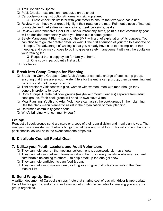- ❏ Trail Conditions Update
- ❏ Pack Checks—explanation, handout, sign-up sheet
- ❏ Carpools—driving instructions/information, sign-up sheet
	- ❏ Cross check this list later with your roster to ensure that everyone has a ride.
- ❏ Review map—have your group highlight their route on the map. Point out places of interest, or notable landmarks (like ranger stations, creek crossings, peaks)
- ❏ Review Comprehensive Gear List -- add/subtract any items, point out that community gear will be decided momentarily when you break out in camp groups
- ❏ Safety Management Plan -- pass out the SMP with a brief explanation of its purpose. You can choose to go into greater detail, or wait till the first afternoon of your trip to elaborate on this topic. The advantage of waiting is that you already have a lot to accomplish at this meeting, and you may choose to go into greater safety management with just the adults on your training trip.
	- $\Box$  Request that a copy by left for family at home
	- ❏ One copy in participant's first aid kit
- ❏ Key Risks

## **5. Break into Camp Groups for Planning**

- ❏ Break into Camp Groups -- One Adult Volunteer can take charge of each camp group, ensuring that there are enough water filters for the entire camp group, then determining tent divisions and cook group divisions.
- ❏ Tent divisions: Girls tent with girls, women with women, men with men (though they generally prefer to tent solo)
- ❏ Cook Groups: Create girl cook groups (maybe with Youth Leaders) separate from adult cook groups. Each cook group will need its own stove & fuel.
- ❏ Meal Planning: Youth and Adult Volunteers can assist the cook groups in their planning. Use the blank menu planner to assist in the organization of meal planning.
- ❏ Determine community gear needs
- ❏ Who's bringing what community gear?

#### *Pro Tip!*

Request all cook groups send a picture or a copy of their gear division and meal plan to you. That way you have a master list of who is bringing what gear and what food. This will come in handy for pack checks, as well as in the event someone drops out.

## **6. Distribute Council Rental Gear**

#### **7. Utilize your Youth Leaders and Adult Volunteers**

- ❏ They can help you run the meeting, collect money, paperwork, sign-up sheets
- ❏ They can help you deliver information about the trip itinerary, safety -- whatever you feel comfortable unloading to others -- to help break up the one-gal show.
- ❏ They can help participants plan food & gear.
- ❏ They can help you pass out gear, as long as you give instructions regarding the Gear Master List

## **8. Send Wrap-Up Email**

A written document of Carpool sign ups (note that sharing cost of gas with driver is appropriate) Pack Check sign ups, and any other follow up information is valuable for keeping you and your group organized.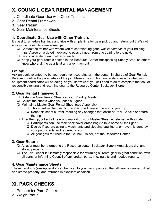# **X. COUNCIL GEAR RENTAL MANAGEMENT**

- 1. Coordinate Gear Use with Other Trainers
- 2. Gear Rental Framework
- 3. Gear Return
- 4. Gear Maintenance Sheets

# **1. Coordinate Gear Use with Other Trainers**

It's best to schedule trainings and trips with ample time for gear pick up and return, but that's not always the case. Here are some tips:

- ❏ Contact the trainer with whom you're coordinating gear, *well in advance* of your training trips. Agree on a date/time/place to pass off gear from one training to the next.
- ❏ Be considerate of each other's needs
- ❏ Keep your gear rentals posted in the Resource Center Backpacking Supply Area, so others know where all the gear is at any given moment

#### *Pro Tip!*

Ask an adult volunteer to be your equipment coordinator -- the person in charge of Gear Rental. Be sure to define the parameters of the job. Make sure you both understand exactly what your equipment coordinator will be doing, so you know what you still need to do to complete the task of responsibly renting and returning gear to the Resource Center Backpack Stores.

#### **2. Gear Rental Framework**

- ❏ Distribute Gear Rental Sheets at your Pre-Trip Meeting
- ❏ Collect the sheets when you pass out gear
- ❏ Maintain a Master Gear Rental Sheet (see Appendix)
	- ❏ This sheet will be used to mark returned gear at the end of your trip
	- ❏ Keep this sheet current, marking any changes that occur at Pack Checks or before the trip
- ❏ After the trip, collect all gear and mark it on your Master Sheet as returned with a date
	- ❏ Participants can use their pack cover (trash bag) to take home all their gear
	- ❏ Decide if you are going to wash tents and sleeping bag liners, or have this done by your participants and returned to you
	- ❏ All gear gets returned to the Council Trainer, not the Resource Center

#### **3. Gear Return**

- ❏ All gear must be returned to the Resource center Backpack Supply Area clean, dry, and stored properly
- ❏ The Trip Leader is ultimately responsible for returning all rental gear in great condition, with all parts, or informing Council of any broken parts, missing bits and needed repairs.

#### **4. Gear Maintenance Sheets**

These handouts (see Appendix) can be given to your participants so that all gear is cleaned, dried and stored properly, and returned in excellent condition.

# **XI. PACK CHECKS**

- 1. Prepare for Pack Checks
- 2. Weigh Packs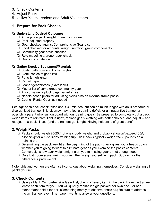- 3. Check Contents
- 4. Adjust Packs
- 5. Utilize Youth Leaders and Adult Volunteers

# **1. Prepare for Pack Checks**

#### ❏ **Understand Desired Outcomes**

- ❏ Appropriate pack weight for each individual
- ❏ Pack adjusted properly
- ❏ Gear checked against Comprehensive Gear List
- ❏ Food checked for amounts, weight, nutrition, group components
- ❏ Community gear cross-checked
- ❏ Role modeling a proper pack check
- ❏ Growing confidence

#### ❏ **Gather Needed Equipment/Materials**

- ❏ Scale (bathroom and kitchen styles)
- ❏ Blank copies of gear lists
- ❏ Pens & highlighter
- ❏ Pad of paper
- ❏ Loaner gear/clothes (if available)
- ❏ Master list of camp group community gear
- ❏ Also of value: Ziplock bags, varied sizes
- ❏ Needle nosed pliers for adjusting clevis pins on external frame packs
- ❏ Council Rental Gear, as needed

*Pro Tip:* each pack check takes about 30 minutes, but can be much longer with an ill-prepared or disorganized trainee. This disarray may reflect a training deficit, or an inattentive trainee, or possibly a parent who isn't on board with our training goals. Be prepared to completely gut a pack, weigh items to reinforce 'light is right', replace gear / clothing with better choices, and adjust -- and readjust -- a pack till you (and the trainee) get it right. Having helpers is of great benefit.

## **2. Weigh Packs**

- ❏ Packs should weigh 20-25% of one's body weight, and probably shouldn't exceed 35#, *especially* for a 1- to 3-day training trip. Girls' packs typically weigh 25-30 pounds on a training trip.
- ❏ Determining the pack weight at the beginning of the pack check gives you a heads up on whether you're going to want to eliminate gear as you examine the pack's contents. Conversely, a low pack weight might alert you to missing gear or not enough food.
- ❏ On a bathroom scale: weigh yourself, then weigh yourself with pack. Subtract for the difference = pack weight

Note: girls and women are often self-conscious about weighing themselves. Consider weighing all packs yourself.

## **3**. **Check Contents**

❏ Using a blank Comprehensive Gear List, check off every item in the pack. Have the trainee locate each item for you. You will quickly realize if a girl packed her own pack, or her mother/father did it for her. (Something merely to observe, that's all.) Be sure to address the girl trainee, even if her parent wants to answer your questions.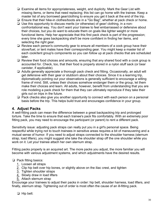- ❏ Examine all items for appropriateness, weight, and duplicity. Mark the Gear List with missing items, or items that need replacing; this list can go home with the trainee. Keep a master list of any borrowed gear/clothing to ensure you get it back at the end of the trip.
- ❏ Ensure that their hike-in clothes/boots are in a "Go Bag", whether at pack check or home.
- ❏ Use this opportunity to discuss merits (or otherwise) of gear/ clothing, in a nonconfrontational way. You don't want your trainee to feel embarrassed or defensive about their choices, but you do want to educate them on goals like lighter weight or more functional items. Help her appreciate that this first pack check is part of the progression; every time she goes backpacking she'll be more confident in finding her items, and selecting the right gear.
- ❏ Review each person's community gear to ensure all members of a cook group have their stove/fuel, or tent mates have their corresponding gear. You might keep a master list of each cook/tent group's components so you can follow up at pack checks that are scheduled later.
- ❏ Review their food choices and amounts, ensuring that any shared food with a cook group is accounted for. Check, too, that their food is properly stored in a nylon stuff sack (or bear canister, if applicable).
- ❏ Adults generally appreciate a thorough pack check and fitting. Occasionally, an adult will get defensive with their gear or stubborn about their choices. Since it is a learning trip, diplomatically pointing out your observations is generally sufficient to encourage a willing frame of mind. Still, unless their choices somehow endanger them or the group, let them make their choices and learn. All adults, however, benefit from understanding that you are role modeling a pack check for them that they can ultimately reproduce if they take their girls out on trips in the future.
- ❏ Pack checks also give you another opportunity to connect with each person on a personal basis before the trip. This helps build trust and encourages confidence in your group.

#### **4. Adjust Packs**

A well-fitting pack can mean the difference between a great backpacking trip and prolonged torture. Take the time to ensure that each trainee's pack fits comfortably. With an extremely poor fitting pack, you may need to encourage the participant (or parent) to rent a different pack.

Sensitivity issue: adjusting pack straps can really put you in a girl's personal space. Being respectful while trying not to touch trainees in sensitive areas requires a bit of maneuvering and a mutual sense of humor. If you need to adjust straps connected to the shoulder harness (sternum strap, load lifters), you might suggest she take the shoulder strap off the one shoulder while you work on it. Let your trainee attach her own sternum strap.

Fitting packs properly is an acquired art. The more packs you adjust, the more familiar you will become with various adjustment systems, and which adjustments have the desired results.

#### ❏ Pack fitting basics:

- 1. Loosen all straps
- 2. Clip hip belt over hip bones, or slightly above on the iliac crest, and tighten
- 3. Tighten shoulder straps
- 4. Slowly draw in load lifters
- 5. Attach sternum strap

Encourage your trainees to adjust their packs in order: hip belt, shoulder harness, load lifters, and finally, sternum strap. Tightening out of order is most often the cause of an ill-fitting pack.

❏ Hip belt: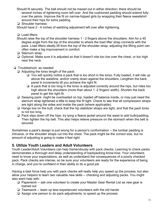- Should fit securely. The belt should not be maxed out in either direction: there should be several inches of tightening room left over. And the cushioned padding should extend fully over the pelvis. Improve the fit on narrow-hipped girls by wrapping their fleece sweatshirt around their hips for extra padding.
- ❏ Shoulder harness:

Should have 2 - 4 inches of webbing adjustment left over after tightening.

❏ Load lifters:

- Should raise the top of the shoulder harness 1 2 fingers above the shoulders. Aim for a 45 degree angle from the top of the shoulder to where the load lifter strap connects with the pack. Load lifters ideally lift from the top of the shoulder strap; adjusting the lifting point can often make a big improvement in comfort.
- ❏ Sternum strap:
- ❏ Optional. Make sure it is adjusted so that it doesn't ride too low over the chest, or too high near the neck.
- ❏ Troubleshoot as needed:
	- ❏ Adjusting the torso length of the pack:
		- ❏ You will quickly notice a pack that is too short in the torso. Fully loaded, it will ride up above the waistline, and/or cramp down against the shoulders. Lengthen the back panel in increments till you achieve the right fit.
		- ❏ A pack that is too long in the torso is adjusted correctly around the hips, but rides too high above the shoulders (more than about 1 -2 fingers' width). Shorten the back panel to get the right fit.
	- ❏ Swaying pack: might be overloaded on top, loaded off balance inside, or may just need the sternum strap tightened a little to keep the fit tight. Check to see that all compression straps are tight along the sides and inside the pack (where applicable).
	- ❏ Hangs low on the butt: check that the hip stabilizer straps are tight, and that the pack torso is not too long.
	- ❏ Pack slips down off the hips: try tying a fleece jacket around the waist to add bulk/padding. Then tighten the hip belt. This also helps relieve pressure on the stomach when the belt is secured.

Sometimes a pack's design is just wrong for a person's conformation -- the lumbar padding is intrusive, or the shoulder straps cut into the chest. The pack might be the correct size, but no amount of adjusting is going to make it feel right.

# **5. Utilize Youth Leaders and Adult Volunteers**

Youth Leader/Adult Volunteers can help tremendously with pack checks. Learning to check packs demonstrates a thorough and deep understanding of backpacking know-how. Your volunteers need to know your expectations, as well as understand the consequences of a poorly checked pack. Pack checks are intense, so be sure your volunteers are ready for the experience of being in charge, and you're confident in their ability to do a good job

Having a task force help you with pack checks will really help you speed up the process, but also allow your helpers to learn two valuable new skills -- checking and adjusting packs. You might also want help with:

- ❏ Paperwork -- ask one volunteer to create your Master Gear Rental List as new gear is loaned out
- ❏ Teamwork -- team up less experienced volunteers with the old hands
- ❏ Assign one person to do pack adjustments, to speed up the process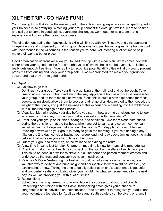# **XII. THE TRIP - GO HAVE FUN!!**

Your training trip will likely be the easiest part of the entire training experience -- backpacking with your trainees is so gratifying! Watching your group connect the dots, get excited, learn to be tired and still get to camp in good spirits, overcome challenges, work together as a team -- this experience will change them (and you) forever.

The girls demonstrating their backpacking skills will fill you with joy. These young girls operating independently and competently, making good decisions, and just having a great time hanging out with their friends in the wilderness is the reason you're here, volunteering a lot of time to help make their world a better place.

Good organization up front will allow you to lead this trip with a clear plan. What comes next will either be on your agenda, or it's free time (the value of which should not be overlooked. Nobody really gets enough free time.) Your ability to recognize potential difficulties will allow you to prevent problems from arising and keep your group safe. A well-coordinated trip makes your group feel secure and that they are in good hands.

#### *Pro Tips!*

❏ Go slow to go fast

Don't rush your group. Take your time organizing at the trailhead and be thorough. Take time to adjust packs up front and along the way. Appreciate how new this experience is for your group, and let them make discoveries. Since this is quite a new experience for most people, going slowly allows them to process and let go of anxiety related to their speed, the weight of their pack, and just the newness of this experience -- heading into the wilderness with all their belongings on their backs.

- ❏ Visualize! Mentally review your day before you start -- how are the transitions going to look, what needs to happen, how can your helpers assist you with these steps?
- ❏ Front load your group on all plans, changes, and additions. Give them clear instructions during the transitions -- at the trailhead, when you get to camp, and so on—so they can visualize their next steps and take action. Discuss the 2nd day plans the night before (evening powwow) so your group is ready to go in the morning. If you're planning a day hike on the 2nd day, consider having your group load their day packs (minus food) the night before. That will save you a lot of time in the morning.
- ❏ Orient your group to their map, at the trailhead and along the route
- ❏ Allow time in camp just to relax. Unprogrammed time is new for many girls (and adults.)
- ❏ Check in. Find a moment each day to check on the spirit and welfare of each participant. This could be done in a wellness circle, but a kind person-to-person moment creates and underscores the trust and concern you have in each other.
- ❏ Peaches & Pits -- Verbalizing the best and worst part of a day, or an experience, is a valuable way to de-brief and bring insight and perspective to what might be stressful, or exhilarating, or new. Taking the time to quietly reflect upon one's experience is peaceful and wonderfully satisfying. It also gives you insight into what someone needs for the next day, as well as providing you with a lot of smiles.
- ❏ Recognitions

Schedule a morning ceremony to acknowledge the success of all your participants. Presenting each trainee with the Basic Backpacking patch gives you a chance to congratulate each individual on their success. Take a moment to recognize your adult and youth volunteers (patches for Adult Leaders and Youth Leaders can be given, or a small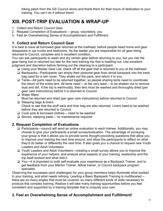hiking patch from the GS Council store) and thank them for their hours of dedication to your training. You can't do it without them!

# **XIII. POST-TRIP EVALUATION & WRAP-UP**

- 1. Collect and Return Council Gear
- 2. Request Completion of Evaluations -- group, volunteers, you
- 3. Feel an Overwhelming Sense of Accomplishment and Fulfillment

# **1. Collect and Return Council Gear**

It is best to have all borrowed gear returned at the trailhead, before people head home and gear disappears in car trunks and bedrooms. As the leader you are responsible for all gear being returned to Council, complete and in excellent condition.

You can ask participants to wash and dry certain gear before returning to you, but you risk the gear being lost or returned too late for the next training trip that is heading out. Use excellent judgment and discretion before farming out the cleaning to a participant.

- ❏ Using your Master Gear List, check off all the gear that is returned to you at the trailhead
- ❏ Backpacks—Participants can empty their personal gear from rental backpack into the trash bag used for a rain cover. They shake out the pack, and return it to you.
- ❏ Tents—All parts need to be returned together, so people sharing tents need to coordinate the return of the entire tent. All tents need -- at the very least -- to be shaken out to remove dust and dirt. If the trip is wet/muddy, then tent must be washed and thoroughly dried (per gear care instructions) before it is returned to Council.
- ❏ Water filters Must be returned and dried (per gear care instructions) before returned to Council
- ❏ Sleeping bags & liners Check to see that the stuff sack and liner bag are also returned. Liners need to be washed before they are returned to Council.
- ❏ Cook pots & borrowed clothes— need to be washed
- ❏ Stoves, sleeping pads— no maintenance required

## **2. Request Completion of Evaluations**

- ❏ Participants—council will send an online evaluation to each trainee. Additionally, you may choose to give your participants a small survey/evaluation. The advantage of surveying your group is that it allows you to provide some thought-provoking questions that allow you to improve your training the next time around, and allow the participants to reflect on what they'd do better or differently the next time. It also gives you a chance to request new Youth Leaders and Adult Volunteers
- ❏ Youth Leaders and Adult Volunteers—creating a small survey allows you to improve the experience of your helpers, and analyze what aspects of your training, leadership and the trip itself worked and what didn't.
- ❏ You—it is important to both self-evaluate your experience as a Backpack Trainer, and to get feedback from your Mentor Trainer, fellow trainer, or Council backpack program specialist.

Observing the successes (and challenges) for your group members helps illuminate what worked in your training, and what needs refining. Leading a Basic Backpack Training is multifaceted - there are so many angles that must be covered, so many different kinds of skills necessary to produce this complex training. Realize it will take many training opportunities before you feel consistent and supported by a training template that is uniquely your own.

# **3. Feel an Overwhelming Sense of Accomplishment and Fulfillment!**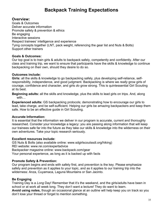# **Backpack Training Expectations**

#### **Overview:**

Goals & Outcomes Deliver accurate information Promote safety & prevention & ethics Be engaging Interactive sessions Respect trainees' intelligence and experience Tying concepts together (LNT, pack weight, referencing the gear list and Nuts & Bolts) Support other trainers

#### **Goals & Outcomes:**

Our top goal is to train girls & adults to backpack safely, competently and confidently. After our class and training trip, we want to ensure that participants have the skills & knowledge to continue backpacking on their own, should they desire to do so.

#### **Outcomes include:**

**Girls:** all the skills & knowledge to go backpacking safely, plus developing self-reliance, selfresponsibility, independence, and good judgment. Backpacking is where we *really* grow girls of courage, confidence and character, and girls *do* grow strong. This is quintessential Girl Scouting at its best.

**Beginning adults:** all the skills and knowledge, plus the skills to lead girls on trips. And, along with…

**Experienced adults:** GS backpacking protocols; demonstrating how to encourage our girls to lead, take charge, and be self-sufficient. Helping our girls be amazing backpackers and keep them safe. How to be an effective guide in Girl Scouting.

#### **Accurate Information:**

It is essential that the information we deliver in our program is accurate, current and thoroughly researched. Consider your knowledge a legacy: you are passing along information that will keep our trainees safe far into the future as they take our skills & knowledge into the wilderness on their own adventures. Take your topic research seriously.

#### **Excellent resources include:**

GS Nuts & Bolts (also available online: www.sdgirlscoutssdi.org/hiking) REI website: www.rei.com/expertadvice Backpacker magazine online: www.backpack.com/gear Your personal experience, as long as it is backed up with facts

#### **Promote Safety & Prevention:**

Our program begins and ends with safety first, and prevention is the key. Please emphasize safety and prevention as it applies to your topic, and as it applies to our training trip into the wilderness: Anza, Cuyamaca, Laguna Mountains or San Jacinto.

#### **Be Engaging**

Training Day is a *Long* Day! Remember that it's the weekend, and the girls/adults have been in school or at work all week long. They don't want a lecture! They do want to learn. **Avoid using notes,** though an occasional glance at an outline will help keep you on track so you don't lose your thread or forget to mention something.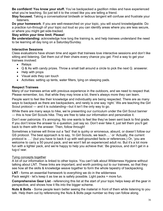**Be confident! You know your stuff.** You've backpacked a gazillion miles and have experienced what you're teaching. So just tell it to the crowd like you are telling a friend.

**Stay focused.** Taking a conversational birdwalk or tedious tangent will confuse and frustrate your listeners.

**Do your homework**. If you are well-researched on your topic, you will sound knowledgeable. Do a practice run-through of your topic out loud so you can identify areas where you are less secure, or where you might get side-tracked.

#### **Stay within your time limit. Please!**

**Be understanding:** acknowledge how long the training is, and help trainees understand the need to be learning all day long on a Saturday/Sunday.

#### **Interactive Sessions**

Class evaluations have shown time and again that trainees love interactive sessions and don't like sitting and listening. Get them out of their chairs every chance you get. Find a way to get your trainees involved:

- Relays
- Q & As with candy prizes. Throw a small ball around a circle to pick the next Q. answerer.
- Help with props
- Visual aids they can touch
- Activities: setting up tents, water filters, lying on sleeping pads.

#### **Respect Trainees**

Many of our trainees arrive with previous experience in the outdoors, and we need to respect that. Please remember, too, that while they may know a lot, there's always more they can learn.

People want to feel like their knowledge and individuality are being respected. There are as many ways to backpack as there are backpackers, and rarely is one way 'right.' We are teaching the Girl Scout protocol — and it is outstanding—but it isn't the only way to go.

While there are many ways to hike, we're presenting our curriculum under the Girl Scout banner — this is how Girl Scouts hike. They are free to take our information and personalize it.

Don't ever patronize. It's annoying. No one wants to feel like they've been sent back to first grade. If you don't know the answer to a question, just say so. Don't ever fake it; just tell them you'll get back to them with the answer. Then, follow through!

Sometimes a trainee will throw out a 'fact' that is quirky or erroneous, absurd, or doesn't follow our GS protocol. The best approach is to say, 'In Girl Scouts, we teach….' or 'Actually, the current protocol is ….' (but you have to back it up with well-grounded facts or references.) Or, 'you are welcome to carry a 50 pound pack, and we won't tell an experienced adult no. But it's a lot more fun with a lighter pack, and we're happy to help you achieve that.' Be gracious, and don't get in a tug-o'-war.

#### Tying concepts together

A lot of our information is linked to other topics. You can't talk about Wilderness Hygiene without talking about LNT. These links are important, and worth pointing out to our trainees, so that they see how all the skills & knowledge weave together to form the whole tapestry of backpacking.

**LNT** - forms an essential framework to everything we do in the wilderness

Pack weight - let's keep it as low as is safely possible. Light packs = more fun.

**Comprehensive Gear List** - referencing this list at the start of your topic helps keep all the gear in perspective, and shows how it fits into the bigger scheme.

**Nuts & Bolts** - Some people learn better seeing the material in front of them while listening to you talk. Help them out by referencing the Nuts & Bolts page number so they can follow along.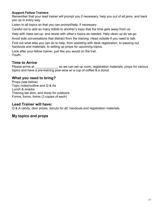#### **Support Fellow Trainers**

Remember that your lead trainer will prompt you if necessary, help you out of all jams, and back you up in every way.

Listen to all topics so that you can prompt/help, if necessary.

Careful not to add so many tidbits to another's topic that the time gets away from us.

Help with class set-up, and assist with other's topics as needed. Help clean up as we go.

Avoid side conversations that distract from the training. Head outside if you need to talk.

Find out what else you can do to help, from assisting with desk registration, to passing out handouts and materials, to setting up props for upcoming topics.

Look after your fellow trainer, just like you would on the trail. Youth:

#### **Time to Arrive**

Please arrive at The So we can set up room, registration materials, props for various topics and have a pre-training pow-wow w/ a cup of coffee & a donut.

#### **What you need to bring?**

Props (see below) Topic notes/outline and Q & As Lunch & snacks Training tee shirt, and dress for outdoors Forms, forms, forms (3 copies of each)

#### **Lead Trainer will have:**

Q & A candy, door prizes, donuts for all, handouts and registration materials.

#### **My topics and props**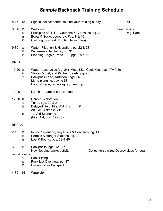# *Sample* **Backpack Training Schedule**

| 8:15         | 15                                      | Sign in, collect handouts, find your training buddy                                                                                                                                                                         |  | All                                       |
|--------------|-----------------------------------------|-----------------------------------------------------------------------------------------------------------------------------------------------------------------------------------------------------------------------------|--|-------------------------------------------|
| 8:30         | 15<br>10<br>15<br>20                    | Welcome<br>Principles of LNT - Coupons & Cupcakes, pg. 2<br>Boots & Socks Jeopardy, Pgs. 8 & 10<br>Clothing, pgs. 9 & 11 (San Jacinto trip)                                                                                 |  | <b>Lead Trainer</b><br>e.g. Kate          |
| 9:30         | 20<br>10<br>15                          | Water: Filtration & Hydration, pg. 22 & 23<br>Wilderness Sanitation, pg. 31<br>Sleeping Bags & Pads, pgs. 18 & 19                                                                                                           |  |                                           |
| <b>BREAK</b> |                                         |                                                                                                                                                                                                                             |  |                                           |
| 10:20 15     | 20<br>60                                | Water receptacles (pg. 24), Mess Kits, Cook Kits, pgs. 47/49/50<br>Stoves & fuel, and Kitchen Safety, pg. 25<br>Backpack Food, Nutrition, pgs. 26 - 30<br>Menu planning, saving \$\$<br>Food storage, repackaging, clean up |  |                                           |
| 12:00        |                                         | Lunch - sample b-pack food,                                                                                                                                                                                                 |  |                                           |
| 12:30 10     | 20<br>15<br>45                          | <b>Career Exploration</b><br>Tents, pgs. 20 & 21<br>Delayed Help, First Aid Kits<br>&<br>Altitude Sickness, etc.<br><b>1st Aid Scenarios</b><br>(First Aid, pgs. 42 - 45)                                                   |  |                                           |
| <b>BREAK</b> |                                         |                                                                                                                                                                                                                             |  |                                           |
| 2:10         | 15<br>15<br>15                          | Injury Prevention, Key Risks & Concerns, pg. 41<br>Permits & Ranger Stations, pg. 32<br>Lost & Found, pgs. 39 & 40                                                                                                          |  |                                           |
| 3:00         | 15<br>rental later on<br>30<br>10<br>30 | Backpacks, pgs. 12 - 17<br>New: loading packs activity<br><b>Pack Fitting</b><br>Pack List Overview, pg. 47<br>Packing Your Backpack                                                                                        |  | Collect torso sizes/Osprey sizes for gear |
| 4:30         | 15                                      | Wrap Up                                                                                                                                                                                                                     |  |                                           |